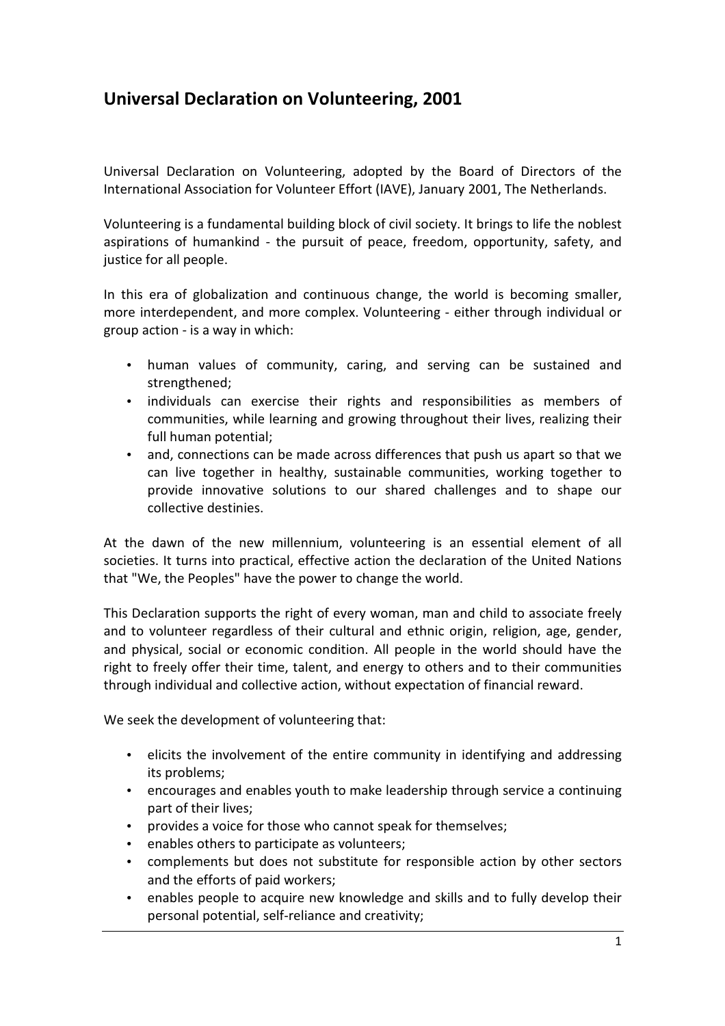## Universal Declaration on Volunteering, 2001

Universal Declaration on Volunteering, adopted by the Board of Directors of the International Association for Volunteer Effort (IAVE), January 2001, The Netherlands.

Volunteering is a fundamental building block of civil society. It brings to life the noblest aspirations of humankind - the pursuit of peace, freedom, opportunity, safety, and justice for all people.

In this era of globalization and continuous change, the world is becoming smaller, more interdependent, and more complex. Volunteering - either through individual or group action - is a way in which:

- human values of community, caring, and serving can be sustained and strengthened;
- individuals can exercise their rights and responsibilities as members of communities, while learning and growing throughout their lives, realizing their full human potential;
- and, connections can be made across differences that push us apart so that we can live together in healthy, sustainable communities, working together to provide innovative solutions to our shared challenges and to shape our collective destinies.

At the dawn of the new millennium, volunteering is an essential element of all societies. It turns into practical, effective action the declaration of the United Nations that "We, the Peoples" have the power to change the world.

This Declaration supports the right of every woman, man and child to associate freely and to volunteer regardless of their cultural and ethnic origin, religion, age, gender, and physical, social or economic condition. All people in the world should have the right to freely offer their time, talent, and energy to others and to their communities through individual and collective action, without expectation of financial reward.

We seek the development of volunteering that:

- elicits the involvement of the entire community in identifying and addressing its problems;
- encourages and enables youth to make leadership through service a continuing part of their lives;
- provides a voice for those who cannot speak for themselves;
- enables others to participate as volunteers;
- complements but does not substitute for responsible action by other sectors and the efforts of paid workers;
- enables people to acquire new knowledge and skills and to fully develop their personal potential, self-reliance and creativity;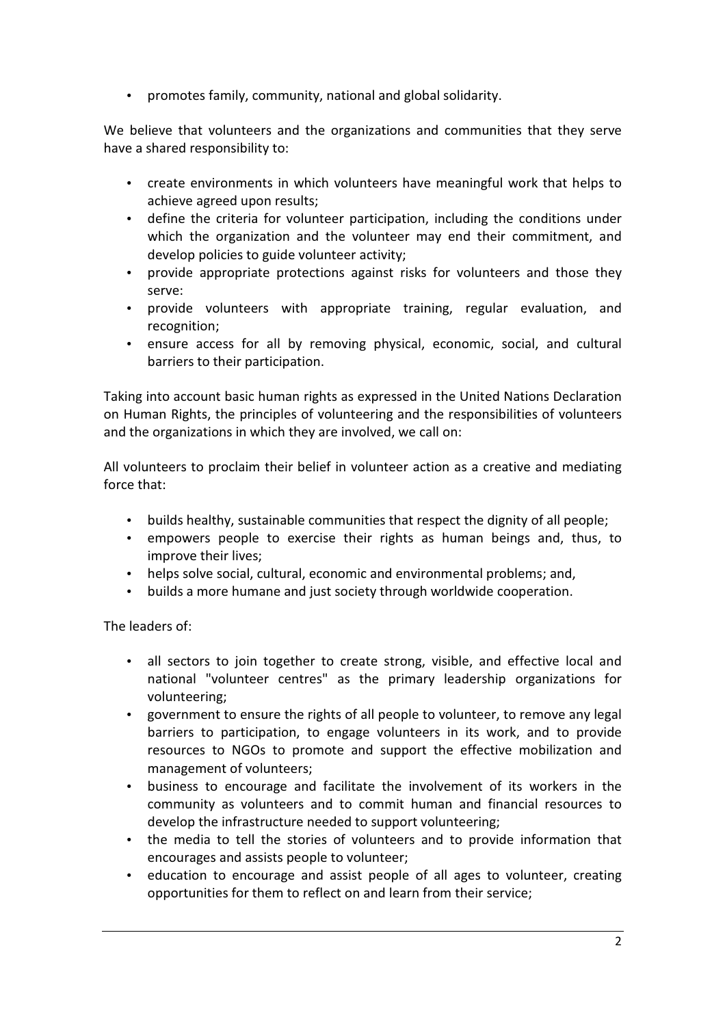• promotes family, community, national and global solidarity.

We believe that volunteers and the organizations and communities that they serve have a shared responsibility to:

- create environments in which volunteers have meaningful work that helps to achieve agreed upon results;
- define the criteria for volunteer participation, including the conditions under which the organization and the volunteer may end their commitment, and develop policies to guide volunteer activity;
- provide appropriate protections against risks for volunteers and those they serve:
- provide volunteers with appropriate training, regular evaluation, and recognition;
- ensure access for all by removing physical, economic, social, and cultural barriers to their participation.

Taking into account basic human rights as expressed in the United Nations Declaration on Human Rights, the principles of volunteering and the responsibilities of volunteers and the organizations in which they are involved, we call on:

All volunteers to proclaim their belief in volunteer action as a creative and mediating force that:

- builds healthy, sustainable communities that respect the dignity of all people;
- empowers people to exercise their rights as human beings and, thus, to improve their lives;
- helps solve social, cultural, economic and environmental problems; and,
- builds a more humane and just society through worldwide cooperation.

The leaders of:

- all sectors to join together to create strong, visible, and effective local and national "volunteer centres" as the primary leadership organizations for volunteering;
- government to ensure the rights of all people to volunteer, to remove any legal barriers to participation, to engage volunteers in its work, and to provide resources to NGOs to promote and support the effective mobilization and management of volunteers;
- business to encourage and facilitate the involvement of its workers in the community as volunteers and to commit human and financial resources to develop the infrastructure needed to support volunteering;
- the media to tell the stories of volunteers and to provide information that encourages and assists people to volunteer;
- education to encourage and assist people of all ages to volunteer, creating opportunities for them to reflect on and learn from their service;